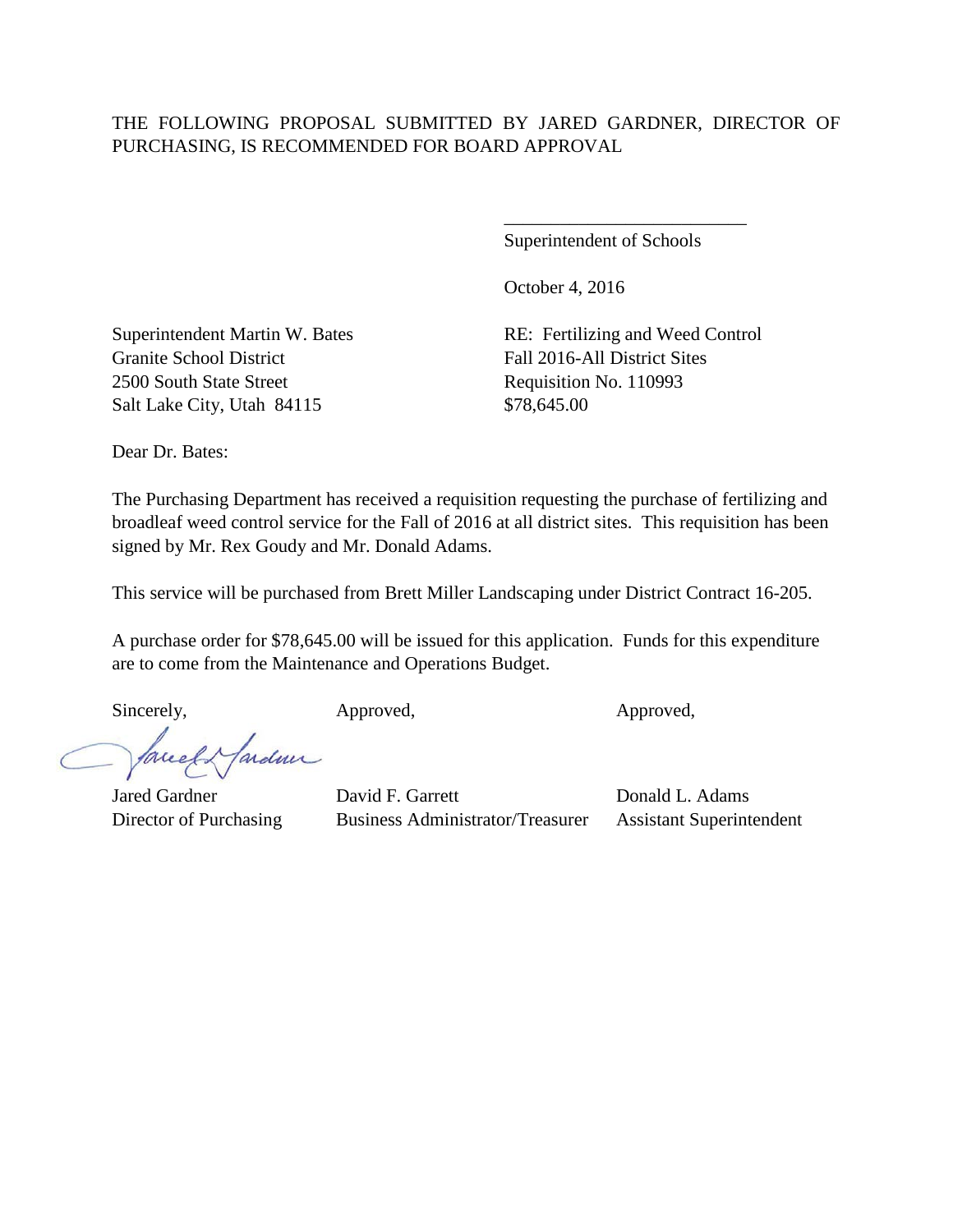## THE FOLLOWING PROPOSAL SUBMITTED BY JARED GARDNER, DIRECTOR OF PURCHASING, IS RECOMMENDED FOR BOARD APPROVAL

Superintendent of Schools

\_\_\_\_\_\_\_\_\_\_\_\_\_\_\_\_\_\_\_\_\_\_\_\_\_\_

October 4, 2016

Superintendent Martin W. Bates RE: Fertilizing and Weed Control Granite School District Fall 2016-All District Sites 2500 South State Street Requisition No. 110993 Salt Lake City, Utah 84115 \$78,645.00

Dear Dr. Bates:

The Purchasing Department has received a requisition requesting the purchase of fertilizing and broadleaf weed control service for the Fall of 2016 at all district sites. This requisition has been signed by Mr. Rex Goudy and Mr. Donald Adams.

This service will be purchased from Brett Miller Landscaping under District Contract 16-205.

A purchase order for \$78,645.00 will be issued for this application. Funds for this expenditure are to come from the Maintenance and Operations Budget.

ardmi

Sincerely, Approved, Approved, Approved, Approved,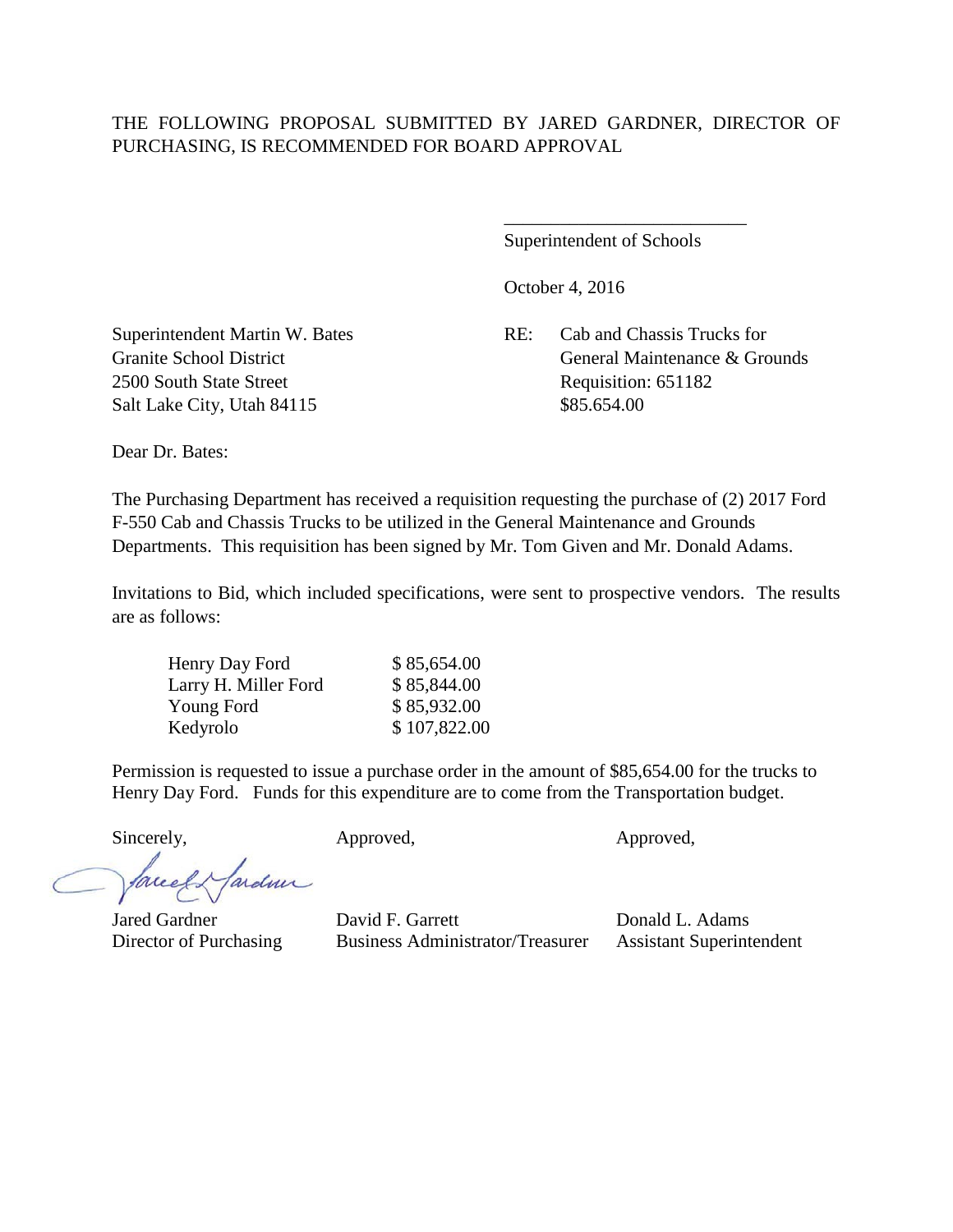## THE FOLLOWING PROPOSAL SUBMITTED BY JARED GARDNER, DIRECTOR OF PURCHASING, IS RECOMMENDED FOR BOARD APPROVAL

Superintendent of Schools

\_\_\_\_\_\_\_\_\_\_\_\_\_\_\_\_\_\_\_\_\_\_\_\_\_\_

October 4, 2016

Superintendent Martin W. Bates RE: Cab and Chassis Trucks for Granite School District Communication Communication Communication Communication General Maintenance & Grounds

2500 South State Street Requisition: 651182 Salt Lake City, Utah 84115 \$85.654.00

Dear Dr. Bates:

The Purchasing Department has received a requisition requesting the purchase of (2) 2017 Ford F-550 Cab and Chassis Trucks to be utilized in the General Maintenance and Grounds Departments. This requisition has been signed by Mr. Tom Given and Mr. Donald Adams.

Invitations to Bid, which included specifications, were sent to prospective vendors. The results are as follows:

| Henry Day Ford       | \$85,654.00  |
|----------------------|--------------|
| Larry H. Miller Ford | \$85,844.00  |
| Young Ford           | \$85,932.00  |
| Kedyrolo             | \$107,822.00 |

Permission is requested to issue a purchase order in the amount of \$85,654.00 for the trucks to Henry Day Ford. Funds for this expenditure are to come from the Transportation budget.

Sincerely, Approved, Approved, Approved,

facel Hardin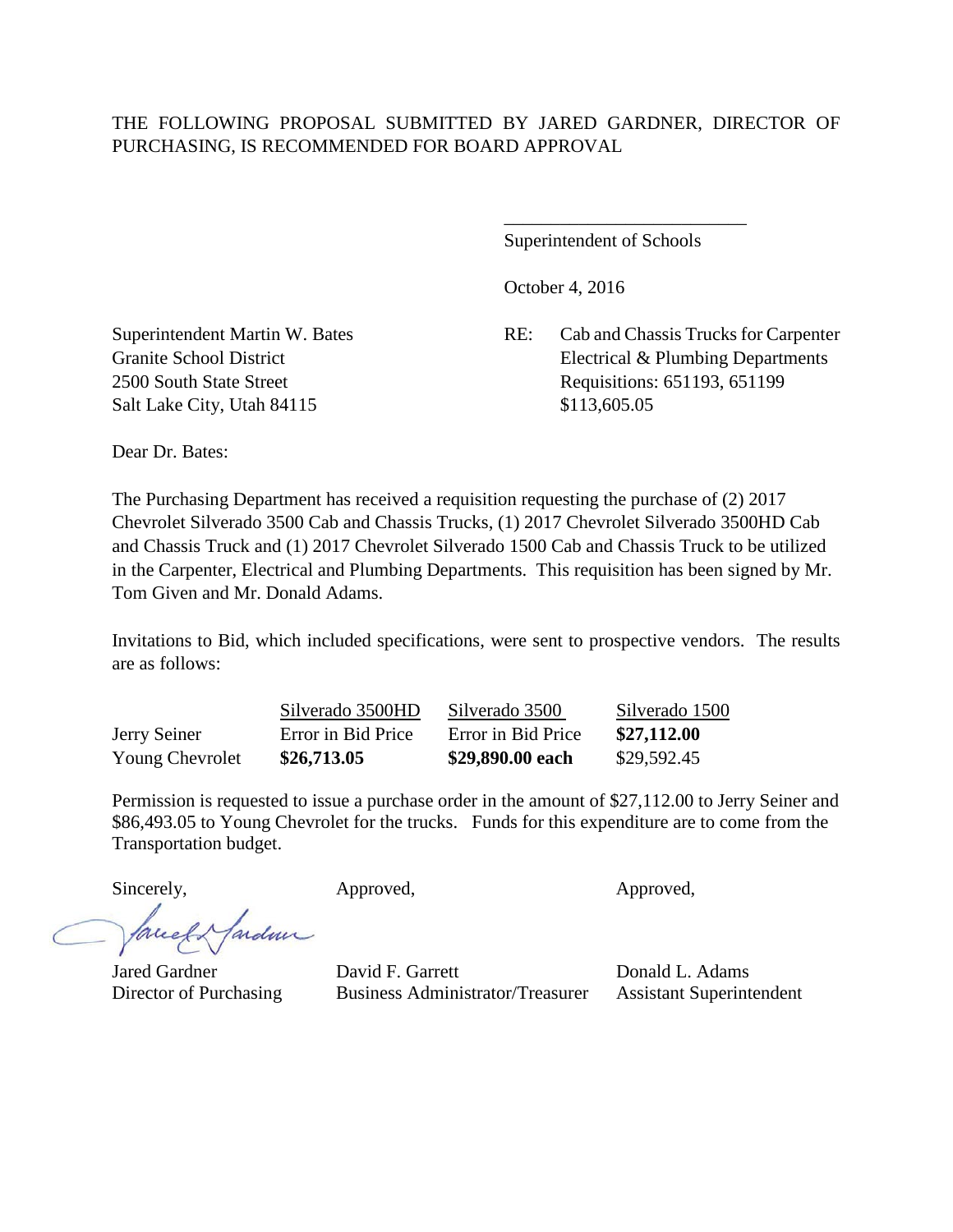Superintendent of Schools

\_\_\_\_\_\_\_\_\_\_\_\_\_\_\_\_\_\_\_\_\_\_\_\_\_\_

October 4, 2016

Superintendent Martin W. Bates RE: Cab and Chassis Trucks for Carpenter Granite School District Electrical & Plumbing Departments 2500 South State Street Requisitions: 651193, 651199

Salt Lake City, Utah 84115 \$113,605.05

Dear Dr. Bates:

The Purchasing Department has received a requisition requesting the purchase of (2) 2017 Chevrolet Silverado 3500 Cab and Chassis Trucks, (1) 2017 Chevrolet Silverado 3500HD Cab and Chassis Truck and (1) 2017 Chevrolet Silverado 1500 Cab and Chassis Truck to be utilized in the Carpenter, Electrical and Plumbing Departments. This requisition has been signed by Mr. Tom Given and Mr. Donald Adams.

Invitations to Bid, which included specifications, were sent to prospective vendors. The results are as follows:

Silverado 3500HD Silverado 3500 Silverado 1500 Jerry Seiner Error in Bid Price Error in Bid Price **\$27,112.00** Young Chevrolet **\$26,713.05 \$29,890.00 each** \$29,592.45

Permission is requested to issue a purchase order in the amount of \$27,112.00 to Jerry Seiner and \$86,493.05 to Young Chevrolet for the trucks. Funds for this expenditure are to come from the Transportation budget.

fardun facel

Sincerely, Approved, Approved, Approved, Approved,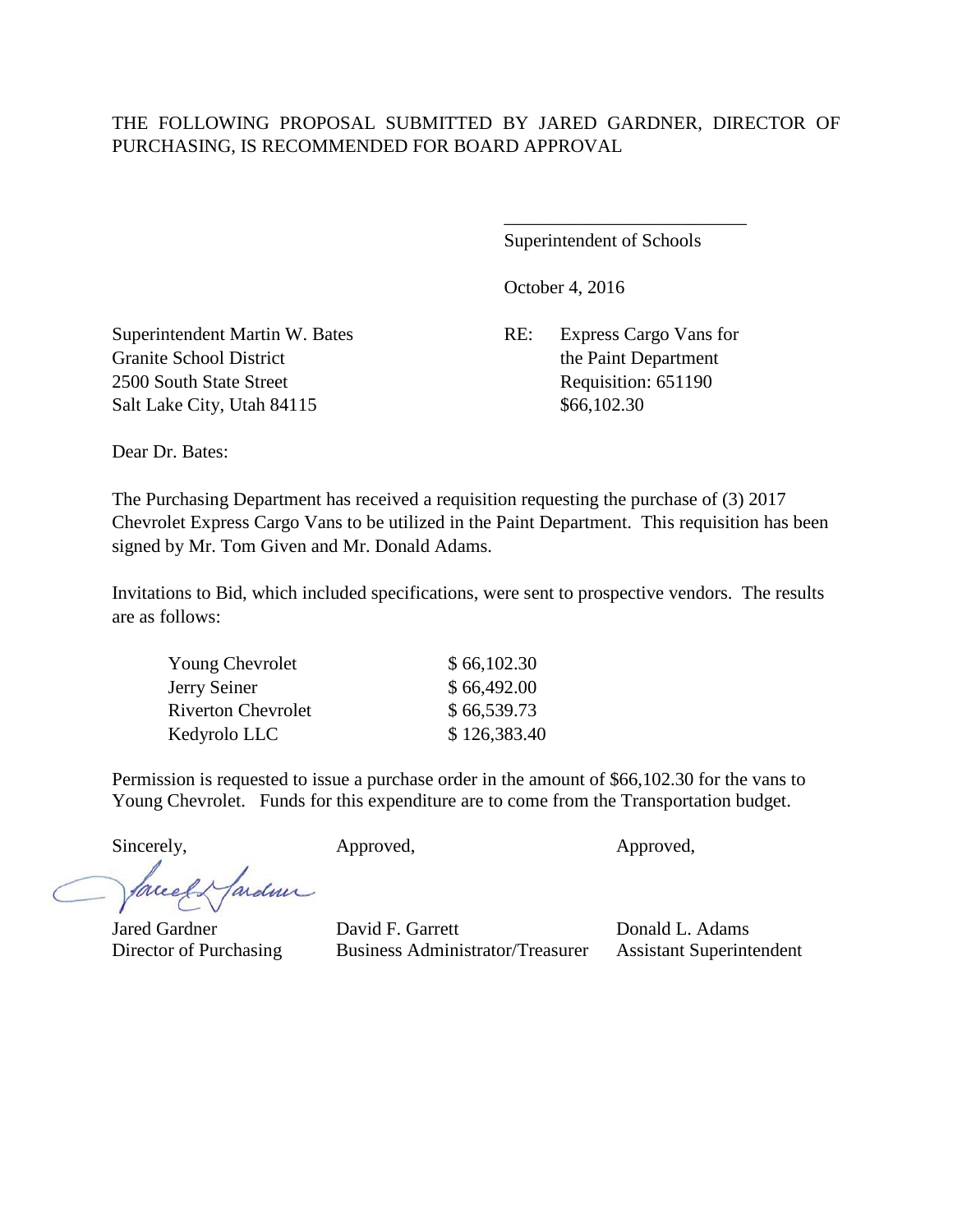## THE FOLLOWING PROPOSAL SUBMITTED BY JARED GARDNER, DIRECTOR OF PURCHASING, IS RECOMMENDED FOR BOARD APPROVAL

Superintendent of Schools

\_\_\_\_\_\_\_\_\_\_\_\_\_\_\_\_\_\_\_\_\_\_\_\_\_\_

October 4, 2016

Superintendent Martin W. Bates RE: Express Cargo Vans for Granite School District the Paint Department 2500 South State Street Requisition: 651190 Salt Lake City, Utah 84115 \$66,102.30

Dear Dr. Bates:

The Purchasing Department has received a requisition requesting the purchase of (3) 2017 Chevrolet Express Cargo Vans to be utilized in the Paint Department. This requisition has been signed by Mr. Tom Given and Mr. Donald Adams.

Invitations to Bid, which included specifications, were sent to prospective vendors. The results are as follows:

| <b>Young Chevrolet</b>    | \$66,102.30  |
|---------------------------|--------------|
| Jerry Seiner              | \$66,492.00  |
| <b>Riverton Chevrolet</b> | \$66,539.73  |
| Kedyrolo LLC              | \$126,383.40 |

Permission is requested to issue a purchase order in the amount of \$66,102.30 for the vans to Young Chevrolet. Funds for this expenditure are to come from the Transportation budget.

Sincerely, Approved, Approved, Approved, Approved,

fardner